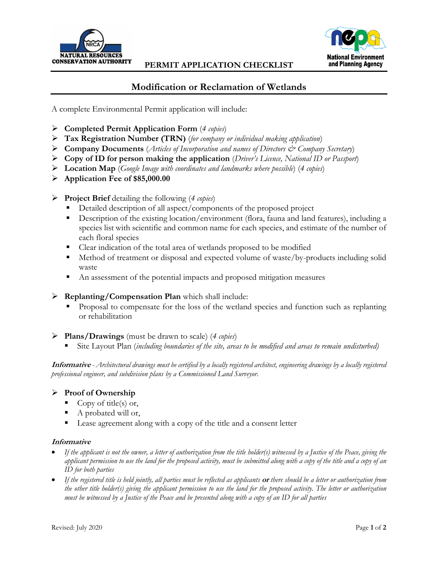

### **PERMIT APPLICATION CHECKLIST**



# **Modification or Reclamation of Wetlands**

A complete Environmental Permit application will include:

- **Completed Permit Application Form** (*4 copies*)
- **Tax Registration Number (TRN)** (*for company or individual making application*)
- **Company Documents** (*Articles of Incorporation and names of Directors & Company Secretary*)
- **Copy of ID for person making the application** (*Driver's Licence, National ID or Passport*)
- **Location Map** (*Google Image with coordinates and landmarks where possible*) (*4 copies*)
- **Application Fee of \$85,000.00**

### **Project Brief** detailing the following (*4 copies*)

- Detailed description of all aspect/components of the proposed project
- Description of the existing location/environment (flora, fauna and land features), including a species list with scientific and common name for each species, and estimate of the number of each floral species
- Clear indication of the total area of wetlands proposed to be modified
- Method of treatment or disposal and expected volume of waste/by-products including solid waste
- An assessment of the potential impacts and proposed mitigation measures
- **Replanting/Compensation Plan** which shall include:
	- Proposal to compensate for the loss of the wetland species and function such as replanting or rehabilitation
- **Plans/Drawings** (must be drawn to scale) (*4 copies*)
	- Site Layout Plan (*including boundaries of the site, areas to be modified and areas to remain undisturbed)*

**Informative** *- Architectural drawings must be certified by a locally registered architect, engineering drawings by a locally registered professional engineer, and subdivision plans by a Commissioned Land Surveyor.*

### **Proof of Ownership**

- Copy of title(s) or,
- A probated will or,
- Lease agreement along with a copy of the title and a consent letter

#### **Informative**

- *If the applicant is not the owner, a letter of authorization from the title holder(s) witnessed by a Justice of the Peace, giving the applicant permission to use the land for the proposed activity, must be submitted along with a copy of the title and a copy of an ID for both parties*
- *If the registered title is held jointly, all parties must be reflected as applicants* **or** *there should be a letter or authorization from the other title holder(s) giving the applicant permission to use the land for the proposed activity. The letter or authorization must be witnessed by a Justice of the Peace and be presented along with a copy of an ID for all parties*